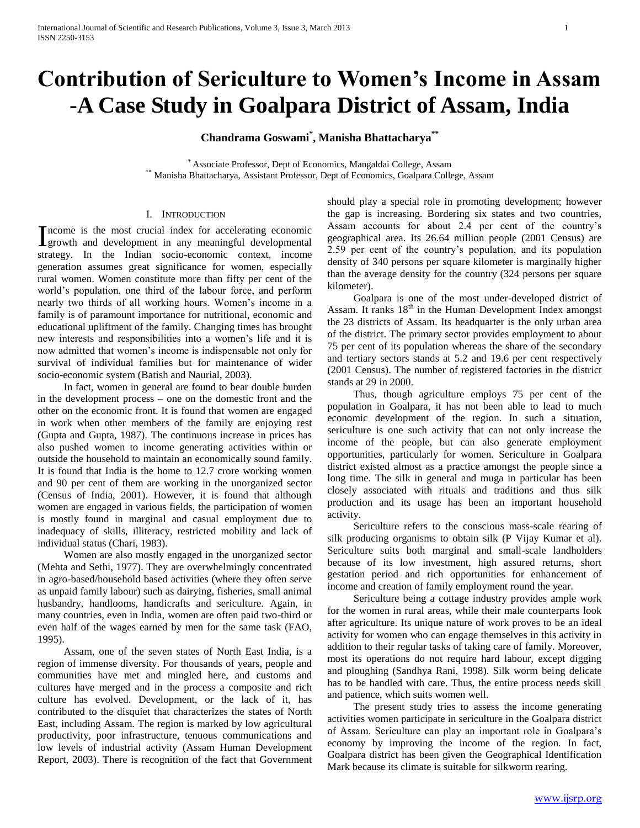# **Contribution of Sericulture to Women's Income in Assam -A Case Study in Goalpara District of Assam, India**

**Chandrama Goswami\* , Manisha Bhattacharya\*\***

\* Associate Professor, Dept of Economics, Mangaldai College, Assam \*\* Manisha Bhattacharya, Assistant Professor, Dept of Economics, Goalpara College, Assam

#### I. INTRODUCTION

ncome is the most crucial index for accelerating economic Income is the most crucial index for accelerating economic<br>Igrowth and development in any meaningful developmental strategy. In the Indian socio-economic context, income generation assumes great significance for women, especially rural women. Women constitute more than fifty per cent of the world"s population, one third of the labour force, and perform nearly two thirds of all working hours. Women"s income in a family is of paramount importance for nutritional, economic and educational upliftment of the family. Changing times has brought new interests and responsibilities into a women"s life and it is now admitted that women"s income is indispensable not only for survival of individual families but for maintenance of wider socio-economic system (Batish and Naurial, 2003).

 In fact, women in general are found to bear double burden in the development process – one on the domestic front and the other on the economic front. It is found that women are engaged in work when other members of the family are enjoying rest (Gupta and Gupta, 1987). The continuous increase in prices has also pushed women to income generating activities within or outside the household to maintain an economically sound family. It is found that India is the home to 12.7 crore working women and 90 per cent of them are working in the unorganized sector (Census of India, 2001). However, it is found that although women are engaged in various fields, the participation of women is mostly found in marginal and casual employment due to inadequacy of skills, illiteracy, restricted mobility and lack of individual status (Chari, 1983).

 Women are also mostly engaged in the unorganized sector (Mehta and Sethi, 1977). They are overwhelmingly concentrated in agro-based/household based activities (where they often serve as unpaid family labour) such as dairying, fisheries, small animal husbandry, handlooms, handicrafts and sericulture. Again, in many countries, even in India, women are often paid two-third or even half of the wages earned by men for the same task (FAO, 1995).

 Assam, one of the seven states of North East India, is a region of immense diversity. For thousands of years, people and communities have met and mingled here, and customs and cultures have merged and in the process a composite and rich culture has evolved. Development, or the lack of it, has contributed to the disquiet that characterizes the states of North East, including Assam. The region is marked by low agricultural productivity, poor infrastructure, tenuous communications and low levels of industrial activity (Assam Human Development Report, 2003). There is recognition of the fact that Government should play a special role in promoting development; however the gap is increasing. Bordering six states and two countries, Assam accounts for about 2.4 per cent of the country"s geographical area. Its 26.64 million people (2001 Census) are 2.59 per cent of the country"s population, and its population density of 340 persons per square kilometer is marginally higher than the average density for the country (324 persons per square kilometer).

 Goalpara is one of the most under-developed district of Assam. It ranks  $18<sup>th</sup>$  in the Human Development Index amongst the 23 districts of Assam. Its headquarter is the only urban area of the district. The primary sector provides employment to about 75 per cent of its population whereas the share of the secondary and tertiary sectors stands at 5.2 and 19.6 per cent respectively (2001 Census). The number of registered factories in the district stands at 29 in 2000.

 Thus, though agriculture employs 75 per cent of the population in Goalpara, it has not been able to lead to much economic development of the region. In such a situation, sericulture is one such activity that can not only increase the income of the people, but can also generate employment opportunities, particularly for women. Sericulture in Goalpara district existed almost as a practice amongst the people since a long time. The silk in general and muga in particular has been closely associated with rituals and traditions and thus silk production and its usage has been an important household activity.

 Sericulture refers to the conscious mass-scale rearing of silk producing organisms to obtain silk (P Vijay Kumar et al). Sericulture suits both marginal and small-scale landholders because of its low investment, high assured returns, short gestation period and rich opportunities for enhancement of income and creation of family employment round the year.

 Sericulture being a cottage industry provides ample work for the women in rural areas, while their male counterparts look after agriculture. Its unique nature of work proves to be an ideal activity for women who can engage themselves in this activity in addition to their regular tasks of taking care of family. Moreover, most its operations do not require hard labour, except digging and ploughing (Sandhya Rani, 1998). Silk worm being delicate has to be handled with care. Thus, the entire process needs skill and patience, which suits women well.

 The present study tries to assess the income generating activities women participate in sericulture in the Goalpara district of Assam. Sericulture can play an important role in Goalpara"s economy by improving the income of the region. In fact, Goalpara district has been given the Geographical Identification Mark because its climate is suitable for silkworm rearing.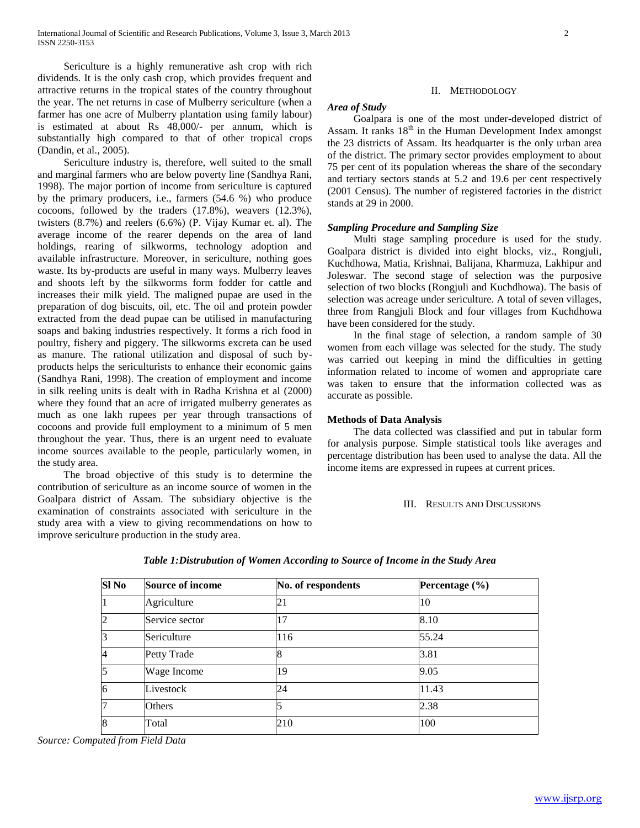Sericulture is a highly remunerative ash crop with rich dividends. It is the only cash crop, which provides frequent and attractive returns in the tropical states of the country throughout the year. The net returns in case of Mulberry sericulture (when a farmer has one acre of Mulberry plantation using family labour) is estimated at about Rs 48,000/- per annum, which is substantially high compared to that of other tropical crops (Dandin, et al., 2005).

 Sericulture industry is, therefore, well suited to the small and marginal farmers who are below poverty line (Sandhya Rani, 1998). The major portion of income from sericulture is captured by the primary producers, i.e., farmers (54.6 %) who produce cocoons, followed by the traders (17.8%), weavers (12.3%), twisters (8.7%) and reelers (6.6%) (P. Vijay Kumar et. al). The average income of the rearer depends on the area of land holdings, rearing of silkworms, technology adoption and available infrastructure. Moreover, in sericulture, nothing goes waste. Its by-products are useful in many ways. Mulberry leaves and shoots left by the silkworms form fodder for cattle and increases their milk yield. The maligned pupae are used in the preparation of dog biscuits, oil, etc. The oil and protein powder extracted from the dead pupae can be utilised in manufacturing soaps and baking industries respectively. It forms a rich food in poultry, fishery and piggery. The silkworms excreta can be used as manure. The rational utilization and disposal of such byproducts helps the sericulturists to enhance their economic gains (Sandhya Rani, 1998). The creation of employment and income in silk reeling units is dealt with in Radha Krishna et al (2000) where they found that an acre of irrigated mulberry generates as much as one lakh rupees per year through transactions of cocoons and provide full employment to a minimum of 5 men throughout the year. Thus, there is an urgent need to evaluate income sources available to the people, particularly women, in the study area.

 The broad objective of this study is to determine the contribution of sericulture as an income source of women in the Goalpara district of Assam. The subsidiary objective is the examination of constraints associated with sericulture in the study area with a view to giving recommendations on how to improve sericulture production in the study area.

## II. METHODOLOGY

#### *Area of Study*

 Goalpara is one of the most under-developed district of Assam. It ranks  $18<sup>th</sup>$  in the Human Development Index amongst the 23 districts of Assam. Its headquarter is the only urban area of the district. The primary sector provides employment to about 75 per cent of its population whereas the share of the secondary and tertiary sectors stands at 5.2 and 19.6 per cent respectively (2001 Census). The number of registered factories in the district stands at 29 in 2000.

#### *Sampling Procedure and Sampling Size*

 Multi stage sampling procedure is used for the study. Goalpara district is divided into eight blocks, viz., Rongjuli, Kuchdhowa, Matia, Krishnai, Balijana, Kharmuza, Lakhipur and Joleswar. The second stage of selection was the purposive selection of two blocks (Rongjuli and Kuchdhowa). The basis of selection was acreage under sericulture. A total of seven villages, three from Rangjuli Block and four villages from Kuchdhowa have been considered for the study.

 In the final stage of selection, a random sample of 30 women from each village was selected for the study. The study was carried out keeping in mind the difficulties in getting information related to income of women and appropriate care was taken to ensure that the information collected was as accurate as possible.

#### **Methods of Data Analysis**

 The data collected was classified and put in tabular form for analysis purpose. Simple statistical tools like averages and percentage distribution has been used to analyse the data. All the income items are expressed in rupees at current prices.

#### III. RESULTS AND DISCUSSIONS

| Sl <sub>No</sub> | Source of income | No. of respondents | Percentage $(\% )$ |
|------------------|------------------|--------------------|--------------------|
|                  | Agriculture      | 21                 | 10                 |
| $\overline{2}$   | Service sector   | 17                 | 8.10               |
| 3                | Sericulture      | 116                | 55.24              |
| $\overline{4}$   | Petty Trade      | 18                 | 3.81               |
| $\overline{5}$   | Wage Income      | 19                 | 9.05               |
| 6                | Livestock        | 24                 | 11.43              |
| 17               | Others           |                    | 2.38               |
| $\overline{8}$   | Total            | 210                | 100                |

#### *Table 1:Distrubution of Women According to Source of Income in the Study Area*

*Source: Computed from Field Data*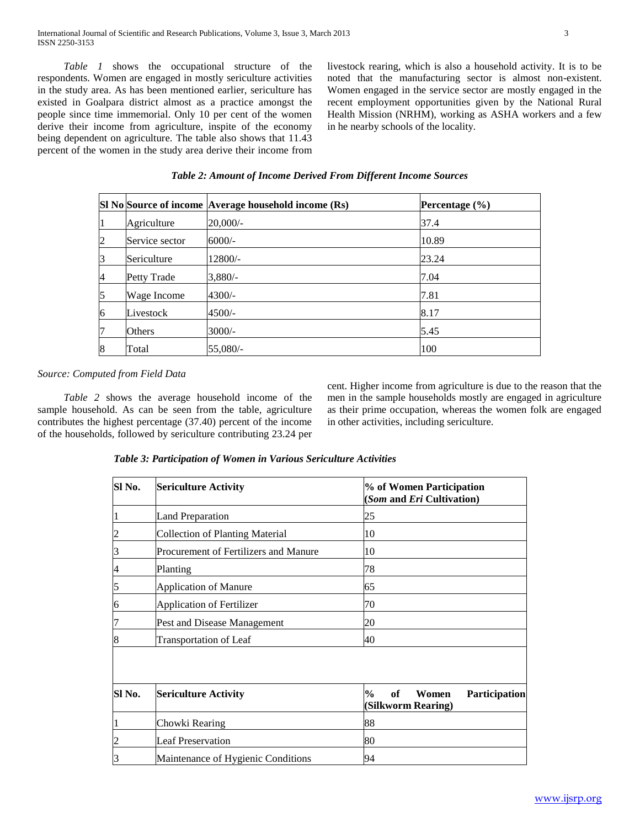*Table 1* shows the occupational structure of the respondents. Women are engaged in mostly sericulture activities in the study area. As has been mentioned earlier, sericulture has existed in Goalpara district almost as a practice amongst the people since time immemorial. Only 10 per cent of the women derive their income from agriculture, inspite of the economy being dependent on agriculture. The table also shows that 11.43 percent of the women in the study area derive their income from livestock rearing, which is also a household activity. It is to be noted that the manufacturing sector is almost non-existent. Women engaged in the service sector are mostly engaged in the recent employment opportunities given by the National Rural Health Mission (NRHM), working as ASHA workers and a few in he nearby schools of the locality.

|   |                | SI No Source of income Average household income (Rs) | Percentage $(\% )$ |
|---|----------------|------------------------------------------------------|--------------------|
| 1 | Agriculture    | $20,000/-$                                           | 37.4               |
| 2 | Service sector | $6000/-$                                             | 10.89              |
| 3 | Sericulture    | 12800/-                                              | 23.24              |
| 4 | Petty Trade    | $3,880/-$                                            | 7.04               |
| 5 | Wage Income    | $4300/-$                                             | 7.81               |
| 6 | Livestock      | $4500/-$                                             | 8.17               |
| 7 | Others         | $3000/-$                                             | 5.45               |
| 8 | Total          | 55,080/-                                             | 100                |

*Table 2: Amount of Income Derived From Different Income Sources*

### *Source: Computed from Field Data*

 *Table 2* shows the average household income of the sample household. As can be seen from the table, agriculture contributes the highest percentage (37.40) percent of the income of the households, followed by sericulture contributing 23.24 per

cent. Higher income from agriculture is due to the reason that the men in the sample households mostly are engaged in agriculture as their prime occupation, whereas the women folk are engaged in other activities, including sericulture.

*Table 3: Participation of Women in Various Sericulture Activities*

| Sl No.         | <b>Sericulture Activity</b>            | % of Women Participation<br>(Som and Eri Cultivation)             |  |
|----------------|----------------------------------------|-------------------------------------------------------------------|--|
|                | <b>Land Preparation</b>                | 25                                                                |  |
| $\overline{c}$ | <b>Collection of Planting Material</b> | 10                                                                |  |
| 3              | Procurement of Fertilizers and Manure  | 10                                                                |  |
| 4              | Planting                               | 78                                                                |  |
| 5              | <b>Application of Manure</b>           | 65                                                                |  |
| 6              | <b>Application of Fertilizer</b>       | 70                                                                |  |
| 7              | Pest and Disease Management            | 20                                                                |  |
| 8              | <b>Transportation of Leaf</b>          | 40                                                                |  |
| Sl No.         | <b>Sericulture Activity</b>            | of<br>$\%$<br>Women<br><b>Participation</b><br>(Silkworm Rearing) |  |
|                | Chowki Rearing                         | 88                                                                |  |
| $\overline{c}$ | <b>Leaf Preservation</b>               | 80                                                                |  |
| 3              | Maintenance of Hygienic Conditions     | 94                                                                |  |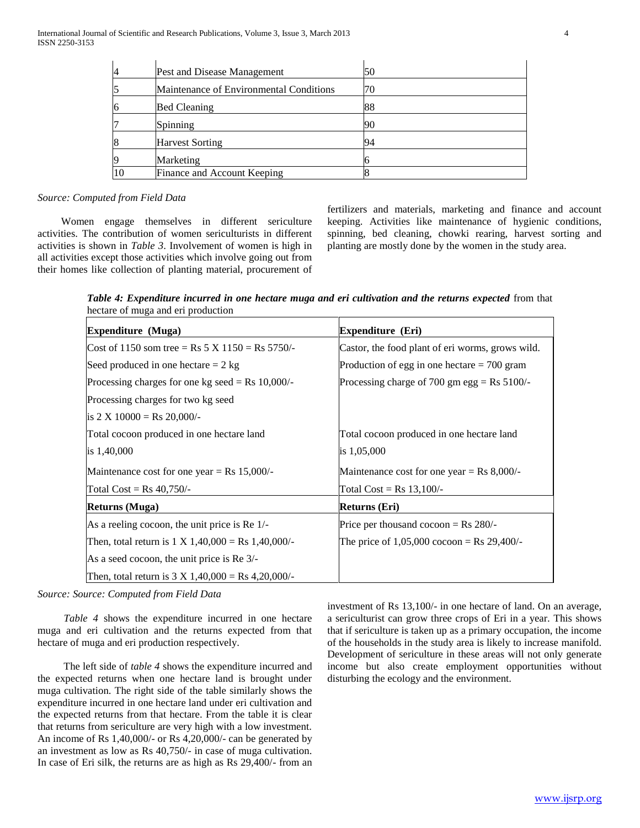| 4  | Pest and Disease Management             | 50 |
|----|-----------------------------------------|----|
|    | Maintenance of Environmental Conditions | 70 |
| 16 | <b>Bed Cleaning</b>                     | 88 |
|    | Spinning                                | 90 |
| 8  | <b>Harvest Sorting</b>                  | 94 |
| 19 | Marketing                               |    |
|    | Finance and Account Keeping             |    |

#### *Source: Computed from Field Data*

 Women engage themselves in different sericulture activities. The contribution of women sericulturists in different activities is shown in *Table 3*. Involvement of women is high in all activities except those activities which involve going out from their homes like collection of planting material, procurement of

fertilizers and materials, marketing and finance and account keeping. Activities like maintenance of hygienic conditions, spinning, bed cleaning, chowki rearing, harvest sorting and planting are mostly done by the women in the study area.

*Table 4: Expenditure incurred in one hectare muga and eri cultivation and the returns expected* from that hectare of muga and eri production

| <b>Expenditure</b> (Muga)                                              | Expenditure (Eri)                                      |  |
|------------------------------------------------------------------------|--------------------------------------------------------|--|
| Cost of 1150 som tree = Rs 5 X 1150 = Rs 5750/-                        | Castor, the food plant of eri worms, grows wild.       |  |
| Seed produced in one hectare $= 2$ kg                                  | Production of egg in one hectare $= 700$ gram          |  |
| Processing charges for one kg seed = Rs $10,000$ /-                    | Processing charge of 700 gm egg = $\text{Rs } 5100$ /- |  |
| Processing charges for two kg seed                                     |                                                        |  |
| is $2 \text{ X } 10000 = \text{Rs } 20,000/$ -                         |                                                        |  |
| Total cocoon produced in one hectare land                              | Total cocoon produced in one hectare land              |  |
| is 1,40,000                                                            | is 1,05,000                                            |  |
| Maintenance cost for one year = $\text{Rs } 15,000$ /-                 | Maintenance cost for one year = Rs $8,000$ /-          |  |
| Total $Cost = Rs \, 40,750/$ -                                         | Total $Cost = Rs 13,100/-$                             |  |
| Returns (Muga)                                                         | Returns (Eri)                                          |  |
| As a reeling cocoon, the unit price is Re 1/-                          | Price per thousand $\rm cocoon = Rs 280/-$             |  |
| Then, total return is $1 \text{ X } 1,40,000 = \text{Rs } 1,40,000/$   | The price of $1,05,000$ cocoon = Rs 29,400/-           |  |
| As a seed cocoon, the unit price is Re 3/-                             |                                                        |  |
| Then, total return is $3 \text{ X } 1,40,000 = \text{Rs } 4,20,000/$ - |                                                        |  |

*Source: Source: Computed from Field Data*

 *Table 4* shows the expenditure incurred in one hectare muga and eri cultivation and the returns expected from that hectare of muga and eri production respectively.

The left side of *table 4* shows the expenditure incurred and the expected returns when one hectare land is brought under muga cultivation. The right side of the table similarly shows the expenditure incurred in one hectare land under eri cultivation and the expected returns from that hectare. From the table it is clear that returns from sericulture are very high with a low investment. An income of Rs 1,40,000/- or Rs 4,20,000/- can be generated by an investment as low as Rs 40,750/- in case of muga cultivation. In case of Eri silk, the returns are as high as Rs 29,400/- from an investment of Rs 13,100/- in one hectare of land. On an average, a sericulturist can grow three crops of Eri in a year. This shows that if sericulture is taken up as a primary occupation, the income of the households in the study area is likely to increase manifold. Development of sericulture in these areas will not only generate income but also create employment opportunities without disturbing the ecology and the environment.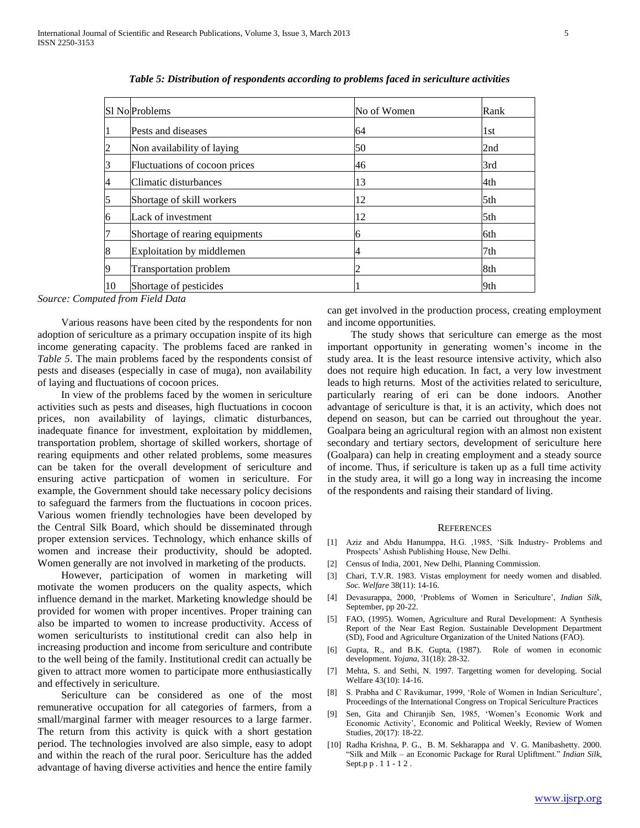|    | S1 No Problems                 | No of Women | Rank |
|----|--------------------------------|-------------|------|
|    | Pests and diseases             | 64          | 1st  |
|    | Non availability of laying     | 50          | 2nd  |
|    | Fluctuations of cocoon prices  | 46          | 3rd  |
| 4  | Climatic disturbances          | 13          | 4th  |
| 5  | Shortage of skill workers      | 12          | 5th  |
| 16 | Lack of investment             | 12          | 5th  |
|    | Shortage of rearing equipments | 6           | 6th  |
| 8  | Exploitation by middlemen      | 4           | 7th  |
| 9  | <b>Transportation problem</b>  |             | 8th  |
| 10 | Shortage of pesticides         |             | 9th  |

*Table 5: Distribution of respondents according to problems faced in sericulture activities*

*Source: Computed from Field Data*

 Various reasons have been cited by the respondents for non adoption of sericulture as a primary occupation inspite of its high income generating capacity. The problems faced are ranked in *Table 5*. The main problems faced by the respondents consist of pests and diseases (especially in case of muga), non availability of laying and fluctuations of cocoon prices.

 In view of the problems faced by the women in sericulture activities such as pests and diseases, high fluctuations in cocoon prices, non availability of layings, climatic disturbances, inadequate finance for investment, exploitation by middlemen, transportation problem, shortage of skilled workers, shortage of rearing equipments and other related problems, some measures can be taken for the overall development of sericulture and ensuring active particpation of women in sericulture. For example, the Government should take necessary policy decisions to safeguard the farmers from the fluctuations in cocoon prices. Various women friendly technologies have been developed by the Central Silk Board, which should be disseminated through proper extension services. Technology, which enhance skills of women and increase their productivity, should be adopted. Women generally are not involved in marketing of the products.

 However, participation of women in marketing will motivate the women producers on the quality aspects, which influence demand in the market. Marketing knowledge should be provided for women with proper incentives. Proper training can also be imparted to women to increase productivity. Access of women sericulturists to institutional credit can also help in increasing production and income from sericulture and contribute to the well being of the family. Institutional credit can actually be given to attract more women to participate more enthusiastically and effectively in sericulture.

 Sericulture can be considered as one of the most remunerative occupation for all categories of farmers, from a small/marginal farmer with meager resources to a large farmer. The return from this activity is quick with a short gestation period. The technologies involved are also simple, easy to adopt and within the reach of the rural poor. Sericulture has the added advantage of having diverse activities and hence the entire family

can get involved in the production process, creating employment and income opportunities.

 The study shows that sericulture can emerge as the most important opportunity in generating women"s income in the study area. It is the least resource intensive activity, which also does not require high education. In fact, a very low investment leads to high returns. Most of the activities related to sericulture, particularly rearing of eri can be done indoors. Another advantage of sericulture is that, it is an activity, which does not depend on season, but can be carried out throughout the year. Goalpara being an agricultural region with an almost non existent secondary and tertiary sectors, development of sericulture here (Goalpara) can help in creating employment and a steady source of income. Thus, if sericulture is taken up as a full time activity in the study area, it will go a long way in increasing the income of the respondents and raising their standard of living.

#### **REFERENCES**

- [1] Aziz and Abdu Hanumppa, H.G. ,1985, "Silk Industry- Problems and Prospects" Ashish Publishing House, New Delhi.
- [2] Census of India, 2001, New Delhi, Planning Commission.
- [3] Chari, T.V.R. 1983. Vistas employment for needy women and disabled. *Soc. Welfare* 38(11): 14-16.
- [4] Devasurappa, 2000, "Problems of Women in Sericulture", *Indian Silk*, September, pp 20-22.
- [5] FAO, (1995). Women, Agriculture and Rural Development: A Synthesis Report of the Near East Region. Sustainable Development Department (SD), Food and Agriculture Organization of the United Nations (FAO).
- [6] Gupta, R., and B.K. Gupta, (1987). Role of women in economic development. *Yojana,* 31(18): 28-32.
- [7] Mehta, S. and Sethi, N. 1997. Targetting women for developing. Social Welfare 43(10): 14-16.
- [8] S. Prabha and C Ravikumar, 1999, 'Role of Women in Indian Sericulture', Proceedings of the International Congress on Tropical Sericulture Practices
- [9] Sen, Gita and Chiranjib Sen, 1985, "Women"s Economic Work and Economic Activity", Economic and Political Weekly, Review of Women Studies, 20(17): 18-22.
- [10] Radha Krishna, P. G., B. M. Sekharappa and V. G. Manibashetty. 2000. "Silk and Milk – an Economic Package for Rural Upliftment." *Indian Silk*, Sept.p p . 1 1 - 1 2 .